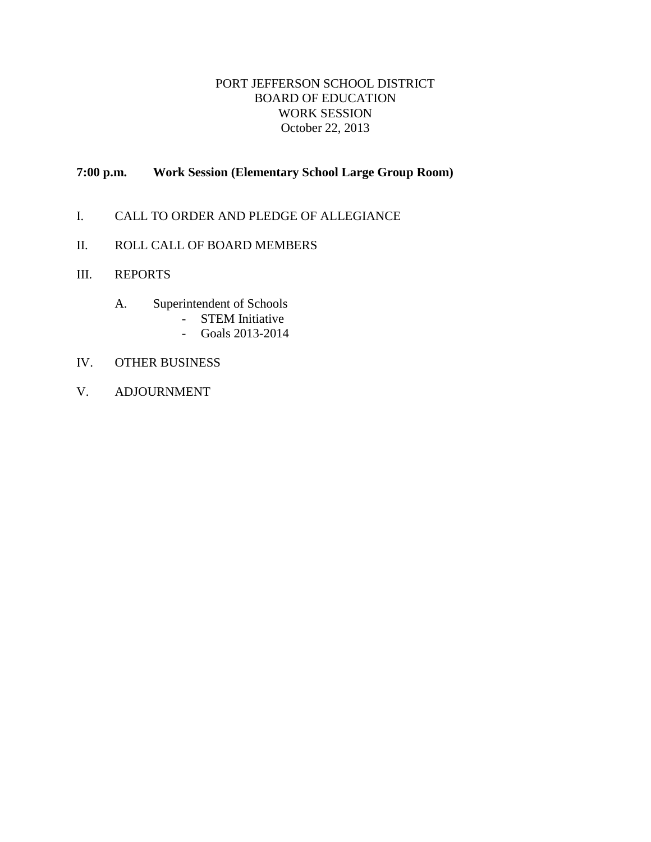# PORT JEFFERSON SCHOOL DISTRICT BOARD OF EDUCATION WORK SESSION October 22, 2013

# **7:00 p.m. Work Session (Elementary School Large Group Room)**

- I. CALL TO ORDER AND PLEDGE OF ALLEGIANCE
- II. ROLL CALL OF BOARD MEMBERS
- III. REPORTS
	- A. Superintendent of Schools
		- STEM Initiative
		- Goals 2013-2014
- IV. OTHER BUSINESS
- V. ADJOURNMENT